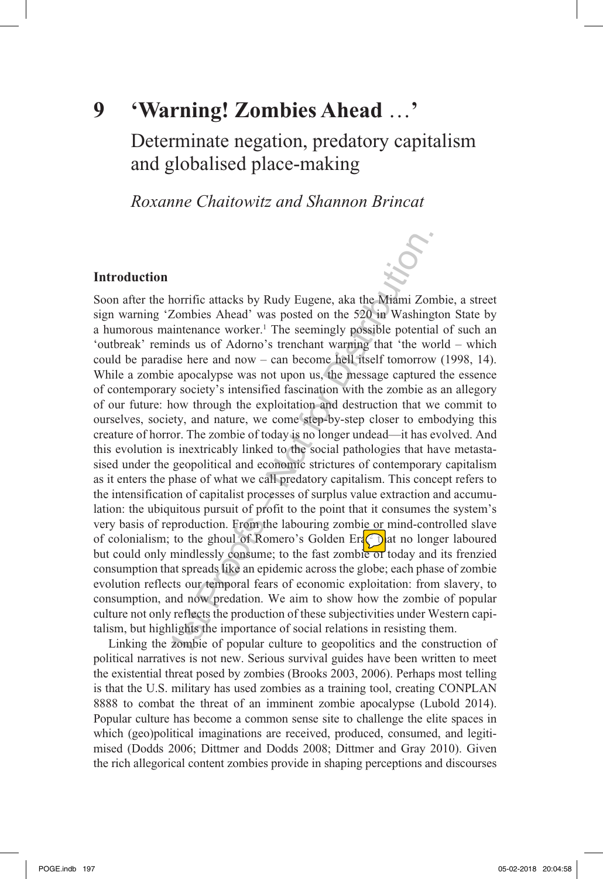**9**

# **'Warning! Zombies Ahead** …**'**

Determinate negation, predatory capitalism and globalised place-making

*Roxanne Chaitowitz and Shannon Brincat*

# **Introduction**

horrific attacks by Rudy Eugene, aka the Miami Zo<br>Zombies Ahead' was posted on the 520 in Washing<br>aintenance worker.<sup>1</sup> The seemingly possible potentia<br>inds us of Adorno's trenchant warning that 'the we<br>ise here and now – Soon after the horrific attacks by Rudy Eugene, aka the Miami Zombie, a street sign warning 'Zombies Ahead' was posted on the 520 in Washington State by a humorous maintenance worker.<sup>1</sup> The seemingly possible potential of such an 'outbreak' reminds us of Adorno's trenchant warning that 'the world – which could be paradise here and now – can become hell itself tomorrow (1998, 14). While a zombie apocalypse was not upon us, the message captured the essence of contemporary society's intensified fascination with the zombie as an allegory of our future: how through the exploitation and destruction that we commit to ourselves, society, and nature, we come step-by-step closer to embodying this creature of horror. The zombie of today is no longer undead—it has evolved. And this evolution is inextricably linked to the social pathologies that have metastasised under the geopolitical and economic strictures of contemporary capitalism as it enters the phase of what we call predatory capitalism. This concept refers to the intensification of capitalist processes of surplus value extraction and accumulation: the ubiquitous pursuit of profit to the point that it consumes the system's very basis of reproduction. From the labouring zombie or mind-controlled slave of colonialism; to the ghoul of Romero's Golden Era<sub>(2</sub>) at no longer laboured but could only mindlessly consume; to the fast zombie of today and its frenzied consumption that spreads like an epidemic across the globe; each phase of zombie evolution reflects our temporal fears of economic exploitation: from slavery, to consumption, and now predation. We aim to show how the zombie of popular culture not only reflects the production of these subjectivities under Western capitalism, but highlights the importance of social relations in resisting them.

Linking the zombie of popular culture to geopolitics and the construction of political narratives is not new. Serious survival guides have been written to meet the existential threat posed by zombies (Brooks 2003, 2006). Perhaps most telling is that the U.S. military has used zombies as a training tool, creating CONPLAN 8888 to combat the threat of an imminent zombie apocalypse (Lubold 2014). Popular culture has become a common sense site to challenge the elite spaces in which (geo)political imaginations are received, produced, consumed, and legitimised (Dodds 2006; Dittmer and Dodds 2008; Dittmer and Gray 2010). Given the rich allegorical content zombies provide in shaping perceptions and discourses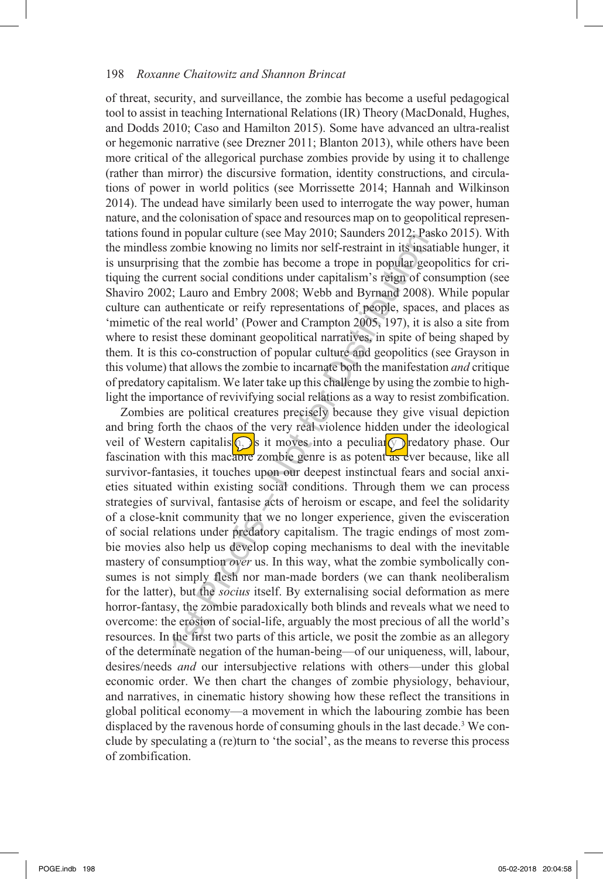of threat, security, and surveillance, the zombie has become a useful pedagogical tool to assist in teaching International Relations (IR) Theory (MacDonald, Hughes, and Dodds 2010; Caso and Hamilton 2015). Some have advanced an ultra-realist or hegemonic narrative (see Drezner 2011; Blanton 2013), while others have been more critical of the allegorical purchase zombies provide by using it to challenge (rather than mirror) the discursive formation, identity constructions, and circulations of power in world politics (see Morrissette 2014; Hannah and Wilkinson 2014). The undead have similarly been used to interrogate the way power, human nature, and the colonisation of space and resources map on to geopolitical representations found in popular culture (see May 2010; Saunders 2012; Pasko 2015). With the mindless zombie knowing no limits nor self-restraint in its insatiable hunger, it is unsurprising that the zombie has become a trope in popular geopolitics for critiquing the current social conditions under capitalism's reign of consumption (see Shaviro 2002; Lauro and Embry 2008; Webb and Byrnand 2008). While popular culture can authenticate or reify representations of people, spaces, and places as 'mimetic of the real world' (Power and Crampton 2005, 197), it is also a site from where to resist these dominant geopolitical narratives, in spite of being shaped by them. It is this co-construction of popular culture and geopolitics (see Grayson in this volume) that allows the zombie to incarnate both the manifestation *and* critique of predatory capitalism. We later take up this challenge by using the zombie to highlight the importance of revivifying social relations as a way to resist zombification.

In popular culture (see Way 2010, Salmaces 2012, Fas<br>
zombie knowing no limits tore straight in its insa<br>
zombie knowing no limits tore at rope in popular geor<br>
are the zombie has become a trope in popular geor<br>
are the z Zombies are political creatures precisely because they give visual depiction and bring forth the chaos of the very real violence hidden under the ideological veil of Western capitalism, it moves into a peculiar  $\circled{r}$  redatory phase. Our fascination with this macabre zombie genre is as potent as ever because, like all survivor-fantasies, it touches upon our deepest instinctual fears and social anxieties situated within existing social conditions. Through them we can process strategies of survival, fantasise acts of heroism or escape, and feel the solidarity of a close-knit community that we no longer experience, given the evisceration of social relations under predatory capitalism. The tragic endings of most zombie movies also help us develop coping mechanisms to deal with the inevitable mastery of consumption *over* us. In this way, what the zombie symbolically consumes is not simply flesh nor man-made borders (we can thank neoliberalism for the latter), but the *socius* itself. By externalising social deformation as mere horror-fantasy, the zombie paradoxically both blinds and reveals what we need to overcome: the erosion of social-life, arguably the most precious of all the world's resources. In the first two parts of this article, we posit the zombie as an allegory of the determinate negation of the human-being—of our uniqueness, will, labour, desires/needs *and* our intersubjective relations with others—under this global economic order. We then chart the changes of zombie physiology, behaviour, and narratives, in cinematic history showing how these reflect the transitions in global political economy—a movement in which the labouring zombie has been displaced by the ravenous horde of consuming ghouls in the last decade.<sup>3</sup> We conclude by speculating a (re)turn to 'the social', as the means to reverse this process of zombification.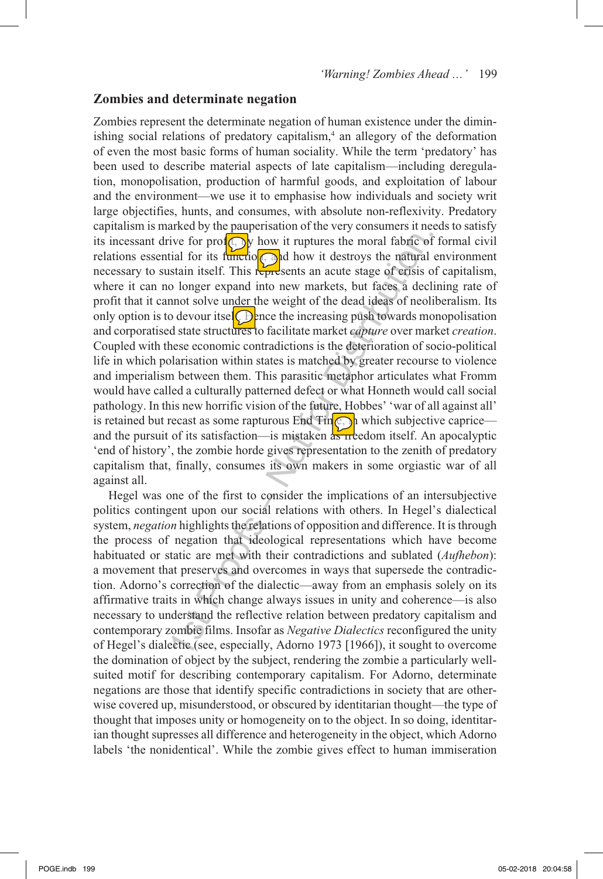#### **Zombies and determinate negation**

ive for pro**CO** how it ruptures the moral fabric of<br>tial for its function and how it destroys the natural<br>stain itself. This represents an acute stage of erisis co<br>longer expand into new markets, but faces a declemont sol Zombies represent the determinate negation of human existence under the diminishing social relations of predatory capitalism,<sup>4</sup> an allegory of the deformation of even the most basic forms of human sociality. While the term 'predatory' has been used to describe material aspects of late capitalism—including deregulation, monopolisation, production of harmful goods, and exploitation of labour and the environment—we use it to emphasise how individuals and society writ large objectifies, hunts, and consumes, with absolute non-reflexivity. Predatory capitalism is marked by the pauperisation of the very consumers it needs to satisfy its incessant drive for prof $(\bigcap_{v}$  how it ruptures the moral fabric of formal civil relations essential for its function, and how it destroys the natural environment necessary to sustain itself. This represents an acute stage of crisis of capitalism, where it can no longer expand into new markets, but faces a declining rate of profit that it cannot solve under the weight of the dead ideas of neoliberalism. Its only option is to devour itsel $\bigoplus$ ence the increasing push towards monopolisation and corporatised state structures to facilitate market *capture* over market *creation*. Coupled with these economic contradictions is the deterioration of socio-political life in which polarisation within states is matched by greater recourse to violence and imperialism between them. This parasitic metaphor articulates what Fromm would have called a culturally patterned defect or what Honneth would call social pathology. In this new horrific vision of the future, Hobbes' 'war of all against all' is retained but recast as some rapturous End  $\text{Fin}(\mathcal{C})$  which subjective caprice and the pursuit of its satisfaction—is mistaken  $\frac{1}{45}$  reedom itself. An apocalyptic 'end of history', the zombie horde gives representation to the zenith of predatory capitalism that, finally, consumes its own makers in some orgiastic war of all against all.

Hegel was one of the first to consider the implications of an intersubjective politics contingent upon our social relations with others. In Hegel's dialectical system, *negation* highlights the relations of opposition and difference. It is through the process of negation that ideological representations which have become habituated or static are met with their contradictions and sublated (*Aufhebon*): a movement that preserves and overcomes in ways that supersede the contradiction. Adorno's correction of the dialectic—away from an emphasis solely on its affirmative traits in which change always issues in unity and coherence—is also necessary to understand the reflective relation between predatory capitalism and contemporary zombie films. Insofar as *Negative Dialectics* reconfigured the unity of Hegel's dialectic (see, especially, Adorno 1973 [1966]), it sought to overcome the domination of object by the subject, rendering the zombie a particularly wellsuited motif for describing contemporary capitalism. For Adorno, determinate negations are those that identify specific contradictions in society that are otherwise covered up, misunderstood, or obscured by identitarian thought—the type of thought that imposes unity or homogeneity on to the object. In so doing, identitarian thought supresses all difference and heterogeneity in the object, which Adorno labels 'the nonidentical'. While the zombie gives effect to human immiseration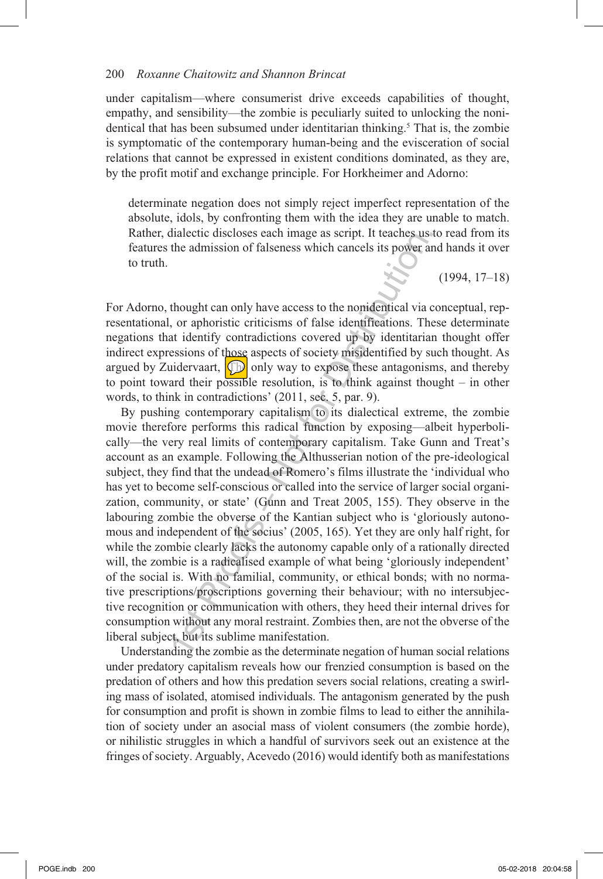under capitalism—where consumerist drive exceeds capabilities of thought, empathy, and sensibility—the zombie is peculiarly suited to unlocking the nonidentical that has been subsumed under identitarian thinking.<sup>5</sup> That is, the zombie is symptomatic of the contemporary human-being and the evisceration of social relations that cannot be expressed in existent conditions dominated, as they are, by the profit motif and exchange principle. For Horkheimer and Adorno:

determinate negation does not simply reject imperfect representation of the absolute, idols, by confronting them with the idea they are unable to match. Rather, dialectic discloses each image as script. It teaches us to read from its features the admission of falseness which cancels its power and hands it over to truth.

(1994, 17–18)

For Adorno, thought can only have access to the nonidentical via conceptual, representational, or aphoristic criticisms of false identifications. These determinate negations that identify contradictions covered up by identitarian thought offer indirect expressions of those aspects of society misidentified by such thought. As argued by Zuidervaart,  $\Box$  only way to expose these antagonisms, and thereby to point toward their possible resolution, is to think against thought – in other words, to think in contradictions' (2011, sec. 5, par. 9).

Interest in states of all magnetic method in the actions and thought can only have access to the nonidentical via the admission of falseness which cancels its power and the distribution covered up by identifications. The By pushing contemporary capitalism to its dialectical extreme, the zombie movie therefore performs this radical function by exposing—albeit hyperbolically—the very real limits of contemporary capitalism. Take Gunn and Treat's account as an example. Following the Althusserian notion of the pre-ideological subject, they find that the undead of Romero's films illustrate the 'individual who has yet to become self-conscious or called into the service of larger social organization, community, or state' (Gunn and Treat 2005, 155). They observe in the labouring zombie the obverse of the Kantian subject who is 'gloriously autonomous and independent of the socius' (2005, 165). Yet they are only half right, for while the zombie clearly lacks the autonomy capable only of a rationally directed will, the zombie is a radicalised example of what being 'gloriously independent' of the social is. With no familial, community, or ethical bonds; with no normative prescriptions/proscriptions governing their behaviour; with no intersubjective recognition or communication with others, they heed their internal drives for consumption without any moral restraint. Zombies then, are not the obverse of the liberal subject, but its sublime manifestation.

Understanding the zombie as the determinate negation of human social relations under predatory capitalism reveals how our frenzied consumption is based on the predation of others and how this predation severs social relations, creating a swirling mass of isolated, atomised individuals. The antagonism generated by the push for consumption and profit is shown in zombie films to lead to either the annihilation of society under an asocial mass of violent consumers (the zombie horde), or nihilistic struggles in which a handful of survivors seek out an existence at the fringes of society. Arguably, Acevedo (2016) would identify both as manifestations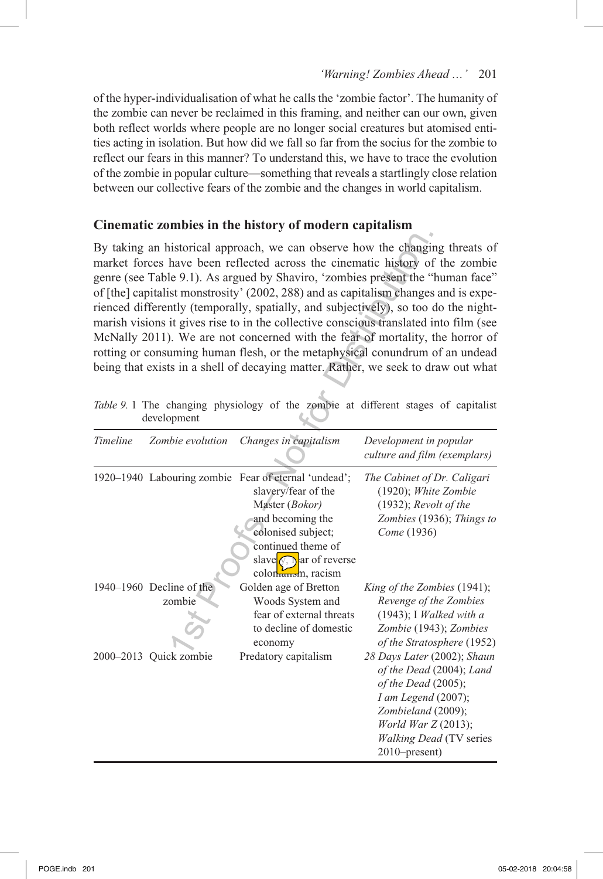of the hyper-individualisation of what he calls the 'zombie factor'. The humanity of the zombie can never be reclaimed in this framing, and neither can our own, given both reflect worlds where people are no longer social creatures but atomised entities acting in isolation. But how did we fall so far from the socius for the zombie to reflect our fears in this manner? To understand this, we have to trace the evolution of the zombie in popular culture—something that reveals a startlingly close relation between our collective fears of the zombie and the changes in world capitalism.

## **Cinematic zombies in the history of modern capitalism**

| By taking an historical approach, we can observe how the changing threats of<br>market forces have been reflected across the cinematic history of the zombie<br>genre (see Table 9.1). As argued by Shaviro, 'zombies present the "human face"<br>of [the] capitalist monstrosity' (2002, 288) and as capitalism changes and is expe-<br>rienced differently (temporally, spatially, and subjectively), so too do the night-<br>marish visions it gives rise to in the collective conscious translated into film (see<br>McNally 2011). We are not concerned with the fear of mortality, the horror of<br>rotting or consuming human flesh, or the metaphysical conundrum of an undead<br>being that exists in a shell of decaying matter. Rather, we seek to draw out what<br>Table 9. 1 The changing physiology of the zombie at different stages of capitalist |                                                                                                                                                                            |                                                                                                                                                                                                                                                                                                  |
|-------------------------------------------------------------------------------------------------------------------------------------------------------------------------------------------------------------------------------------------------------------------------------------------------------------------------------------------------------------------------------------------------------------------------------------------------------------------------------------------------------------------------------------------------------------------------------------------------------------------------------------------------------------------------------------------------------------------------------------------------------------------------------------------------------------------------------------------------------------------|----------------------------------------------------------------------------------------------------------------------------------------------------------------------------|--------------------------------------------------------------------------------------------------------------------------------------------------------------------------------------------------------------------------------------------------------------------------------------------------|
| development                                                                                                                                                                                                                                                                                                                                                                                                                                                                                                                                                                                                                                                                                                                                                                                                                                                       |                                                                                                                                                                            |                                                                                                                                                                                                                                                                                                  |
| Timeline<br>Zombie evolution                                                                                                                                                                                                                                                                                                                                                                                                                                                                                                                                                                                                                                                                                                                                                                                                                                      | Changes in capitalism                                                                                                                                                      | Development in popular<br>culture and film (exemplars)                                                                                                                                                                                                                                           |
| 1920-1940 Labouring zombie Fear of eternal 'undead';                                                                                                                                                                                                                                                                                                                                                                                                                                                                                                                                                                                                                                                                                                                                                                                                              | slavery/fear of the<br>Master (Bokor)<br>and becoming the<br>colonised subject;<br>continued theme of<br>slave $\sqrt{y}$ ar of reverse<br>colon <sub>tano</sub> m, racism | The Cabinet of Dr. Caligari<br>(1920); White Zombie<br>$(1932)$ ; Revolt of the<br>Zombies (1936); Things to<br>Come (1936)                                                                                                                                                                      |
| 1940–1960 Decline of the<br>zombie<br>2000-2013 Quick zombie                                                                                                                                                                                                                                                                                                                                                                                                                                                                                                                                                                                                                                                                                                                                                                                                      | Golden age of Bretton<br>Woods System and<br>fear of external threats<br>to decline of domestic<br>economy<br>Predatory capitalism                                         | King of the Zombies (1941);<br>Revenge of the Zombies<br>$(1943);$ I Walked with a<br>Zombie (1943); Zombies<br>of the Stratosphere (1952)<br>28 Days Later (2002); Shaun<br>of the Dead (2004); Land<br>of the Dead (2005);<br>I am Legend (2007);<br>Zombieland (2009);<br>World War Z (2013); |
|                                                                                                                                                                                                                                                                                                                                                                                                                                                                                                                                                                                                                                                                                                                                                                                                                                                                   |                                                                                                                                                                            | <b>Walking Dead (TV series</b><br>2010–present)                                                                                                                                                                                                                                                  |

*Table 9.* 1 The changing physiology of the zombie at different stages of capitalist development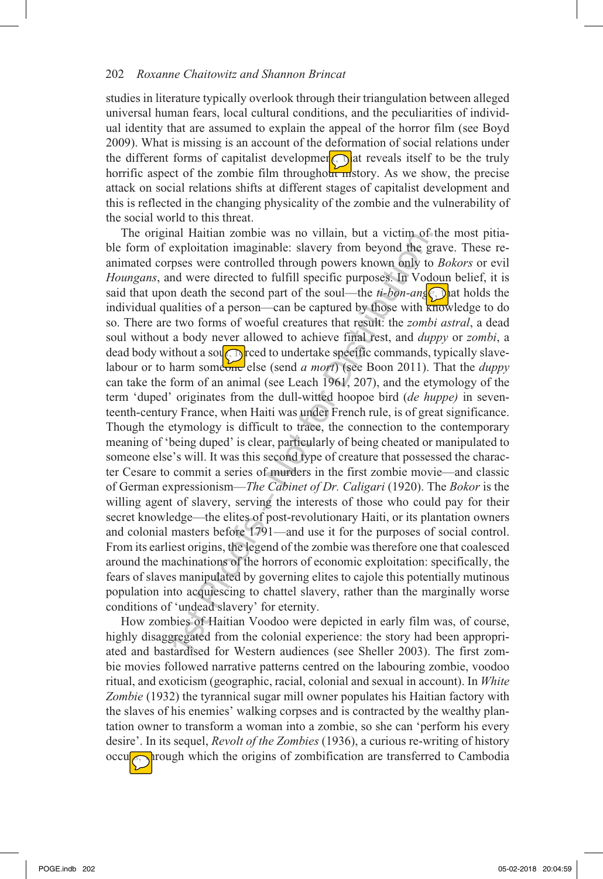studies in literature typically overlook through their triangulation between alleged universal human fears, local cultural conditions, and the peculiarities of individual identity that are assumed to explain the appeal of the horror film (see Boyd 2009). What is missing is an account of the deformation of social relations under the different forms of capitalist developmen<sup> $\odot$ </sup> at reveals itself to be the truly horrific aspect of the zombie film throughout  $\frac{1}{\ln}$ story. As we show, the precise attack on social relations shifts at different stages of capitalist development and this is reflected in the changing physicality of the zombie and the vulnerability of the social world to this threat.

and radian 2000 was no vindan; out a vient of<br>exploitation imaginable: slavery from beyond the gepolentation imaginable: slavery from beyond the geposes were controlled through powers known only to move that the second pa The original Haitian zombie was no villain, but a victim of the most pitiable form of exploitation imaginable: slavery from beyond the grave. These reanimated corpses were controlled through powers known only to *Bokors* or evil *Houngans*, and were directed to fulfill specific purposes. In Vodoun belief, it is said that upon death the second part of the soul—the  $ti-bon-an_s(c)$  hat holds the individual qualities of a person—can be captured by those with knowledge to do so. There are two forms of woeful creatures that result: the *zombi astral*, a dead soul without a body never allowed to achieve final rest, and *duppy* or *zombi*, a dead body without a souch preed to undertake specific commands, typically slavelabour or to harm someone else (send *a mort*) (see Boon 2011). That the *duppy* can take the form of an animal (see Leach 1961, 207), and the etymology of the term 'duped' originates from the dull-witted hoopoe bird (*de huppe)* in seventeenth-century France, when Haiti was under French rule, is of great significance. Though the etymology is difficult to trace, the connection to the contemporary meaning of 'being duped' is clear, particularly of being cheated or manipulated to someone else's will. It was this second type of creature that possessed the character Cesare to commit a series of murders in the first zombie movie—and classic of German expressionism—*The Cabinet of Dr. Caligari* (1920). The *Bokor* is the willing agent of slavery, serving the interests of those who could pay for their secret knowledge—the elites of post-revolutionary Haiti, or its plantation owners and colonial masters before 1791—and use it for the purposes of social control. From its earliest origins, the legend of the zombie was therefore one that coalesced around the machinations of the horrors of economic exploitation: specifically, the fears of slaves manipulated by governing elites to cajole this potentially mutinous population into acquiescing to chattel slavery, rather than the marginally worse conditions of 'undead slavery' for eternity.

How zombies of Haitian Voodoo were depicted in early film was, of course, highly disaggregated from the colonial experience: the story had been appropriated and bastardised for Western audiences (see Sheller 2003). The first zombie movies followed narrative patterns centred on the labouring zombie, voodoo ritual, and exoticism (geographic, racial, colonial and sexual in account). In *White Zombie* (1932) the tyrannical sugar mill owner populates his Haitian factory with the slaves of his enemies' walking corpses and is contracted by the wealthy plantation owner to transform a woman into a zombie, so she can 'perform his every desire'. In its sequel, *Revolt of the Zombies* (1936), a curious re-writing of history occu $\sqrt{\cos \theta}$  rough which the origins of zombification are transferred to Cambodia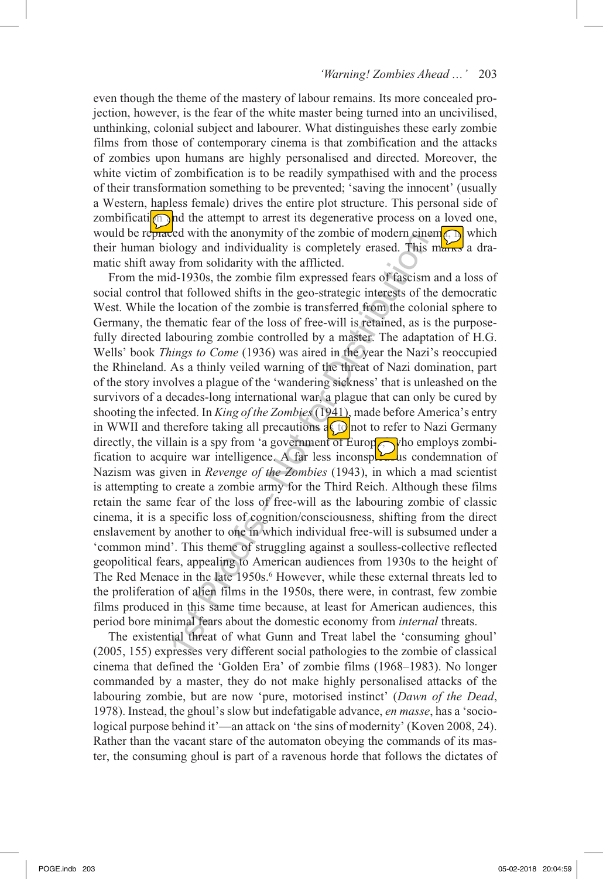even though the theme of the mastery of labour remains. Its more concealed projection, however, is the fear of the white master being turned into an uncivilised, unthinking, colonial subject and labourer. What distinguishes these early zombie films from those of contemporary cinema is that zombification and the attacks of zombies upon humans are highly personalised and directed. Moreover, the white victim of zombification is to be readily sympathised with and the process of their transformation something to be prevented; 'saving the innocent' (usually a Western, hapless female) drives the entire plot structure. This personal side of zombification and the attempt to arrest its degenerative process on a loved one, would be replaced with the anonymity of the zombie of modern cinem $\odot$  which their human biology and individuality is completely erased. This marks a dramatic shift away from solidarity with the afflicted.

Event in the anonymity of the Zomber of thosen with the anonymic of algo along and individuality is completely erased. This y from solidarity with the afflicted. id-1930s, the zombie film expressed fears of fascism hat fo From the mid-1930s, the zombie film expressed fears of fascism and a loss of social control that followed shifts in the geo-strategic interests of the democratic West. While the location of the zombie is transferred from the colonial sphere to Germany, the thematic fear of the loss of free-will is retained, as is the purposefully directed labouring zombie controlled by a master. The adaptation of H.G. Wells' book *Things to Come* (1936) was aired in the year the Nazi's reoccupied the Rhineland. As a thinly veiled warning of the threat of Nazi domination, part of the story involves a plague of the 'wandering sickness' that is unleashed on the survivors of a decades-long international war, a plague that can only be cured by shooting the infected. In *King of the Zombies* (1941), made before America's entry in WWII and therefore taking all precautions  $\frac{1}{4}$  ond to refer to Nazi Germany directly, the villain is a spy from 'a government of Europe  $\alpha$  who employs zombification to acquire war intelligence. A far less inconspicuous condemnation of Nazism was given in *Revenge of the Zombies* (1943), in which a mad scientist is attempting to create a zombie army for the Third Reich. Although these films retain the same fear of the loss of free-will as the labouring zombie of classic cinema, it is a specific loss of cognition/consciousness, shifting from the direct enslavement by another to one in which individual free-will is subsumed under a 'common mind'. This theme of struggling against a soulless-collective reflected geopolitical fears, appealing to American audiences from 1930s to the height of The Red Menace in the late 1950s.<sup>6</sup> However, while these external threats led to the proliferation of alien films in the 1950s, there were, in contrast, few zombie films produced in this same time because, at least for American audiences, this period bore minimal fears about the domestic economy from *internal* threats.

The existential threat of what Gunn and Treat label the 'consuming ghoul' (2005, 155) expresses very different social pathologies to the zombie of classical cinema that defined the 'Golden Era' of zombie films (1968–1983). No longer commanded by a master, they do not make highly personalised attacks of the labouring zombie, but are now 'pure, motorised instinct' (*Dawn of the Dead*, 1978). Instead, the ghoul's slow but indefatigable advance, *en masse*, has a 'sociological purpose behind it'—an attack on 'the sins of modernity' (Koven 2008, 24). Rather than the vacant stare of the automaton obeying the commands of its master, the consuming ghoul is part of a ravenous horde that follows the dictates of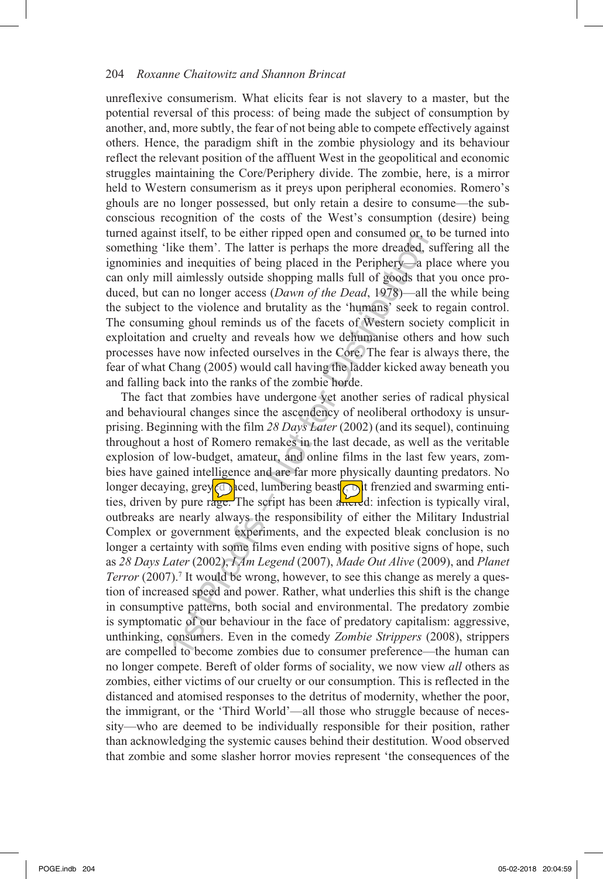unreflexive consumerism. What elicits fear is not slavery to a master, but the potential reversal of this process: of being made the subject of consumption by another, and, more subtly, the fear of not being able to compete effectively against others. Hence, the paradigm shift in the zombie physiology and its behaviour reflect the relevant position of the affluent West in the geopolitical and economic struggles maintaining the Core/Periphery divide. The zombie, here, is a mirror held to Western consumerism as it preys upon peripheral economies. Romero's ghouls are no longer possessed, but only retain a desire to consume—the subconscious recognition of the costs of the West's consumption (desire) being turned against itself, to be either ripped open and consumed or, to be turned into something 'like them'. The latter is perhaps the more dreaded, suffering all the ignominies and inequities of being placed in the Periphery—a place where you can only mill aimlessly outside shopping malls full of goods that you once produced, but can no longer access (*Dawn of the Dead*, 1978)—all the while being the subject to the violence and brutality as the 'humans' seek to regain control. The consuming ghoul reminds us of the facets of Western society complicit in exploitation and cruelty and reveals how we dehumanise others and how such processes have now infected ourselves in the Core. The fear is always there, the fear of what Chang (2005) would call having the ladder kicked away beneath you and falling back into the ranks of the zombie horde.

st user. To be either inpede open and consumers of the theories it is the them'. The latter is perhaps the more dreaded, six and inequities of being placed in the Periphery—a p II aimlessly outside shopping malls full of The fact that zombies have undergone yet another series of radical physical and behavioural changes since the ascendency of neoliberal orthodoxy is unsurprising. Beginning with the film *28 Days Later* (2002) (and its sequel), continuing throughout a host of Romero remakes in the last decade, as well as the veritable explosion of low-budget, amateur, and online films in the last few years, zombies have gained intelligence and are far more physically daunting predators. No longer decaying, grey<sup>c</sup> $\bigcirc$  keed, lumbering beast  $\bigcirc$  if frenzied and swarming entities, driven by pure rage. The script has been and divided: infection is typically viral, outbreaks are nearly always the responsibility of either the Military Industrial Complex or government experiments, and the expected bleak conclusion is no longer a certainty with some films even ending with positive signs of hope, such as *28 Days Later* (2002), *I Am Legend* (2007), *Made Out Alive* (2009), and *Planet Terror* (2007).<sup>7</sup> It would be wrong, however, to see this change as merely a question of increased speed and power. Rather, what underlies this shift is the change in consumptive patterns, both social and environmental. The predatory zombie is symptomatic of our behaviour in the face of predatory capitalism: aggressive, unthinking, consumers. Even in the comedy *Zombie Strippers* (2008), strippers are compelled to become zombies due to consumer preference—the human can no longer compete. Bereft of older forms of sociality, we now view *all* others as zombies, either victims of our cruelty or our consumption. This is reflected in the distanced and atomised responses to the detritus of modernity, whether the poor, the immigrant, or the 'Third World'—all those who struggle because of necessity—who are deemed to be individually responsible for their position, rather than acknowledging the systemic causes behind their destitution. Wood observed that zombie and some slasher horror movies represent 'the consequences of the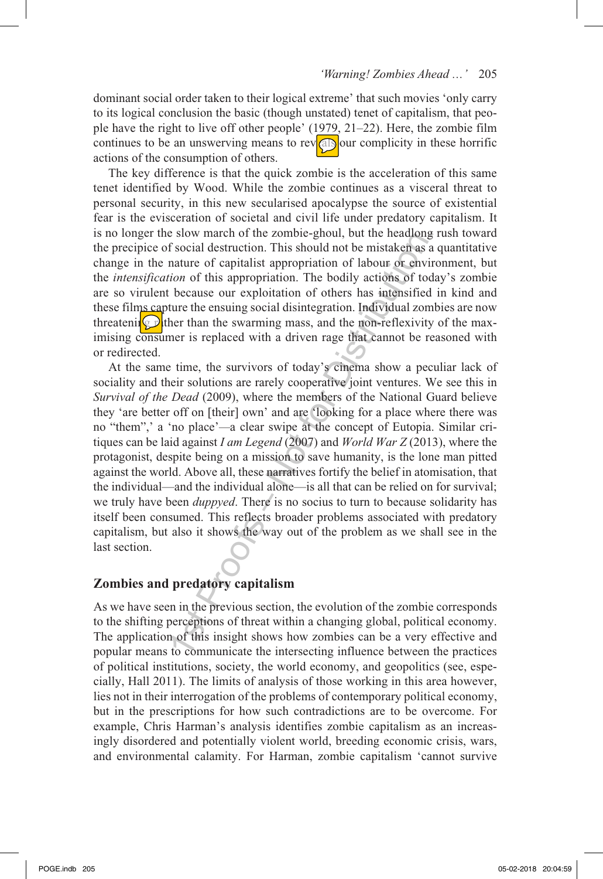dominant social order taken to their logical extreme' that such movies 'only carry to its logical conclusion the basic (though unstated) tenet of capitalism, that people have the right to live off other people' (1979, 21–22). Here, the zombie film continues to be an unswerving means to reveall our complicity in these horrific actions of the consumption of others.

The key difference is that the quick zombie is the acceleration of this same tenet identified by Wood. While the zombie continues as a visceral threat to personal security, in this new secularised apocalypse the source of existential fear is the evisceration of societal and civil life under predatory capitalism. It is no longer the slow march of the zombie-ghoul, but the headlong rush toward the precipice of social destruction. This should not be mistaken as a quantitative change in the nature of capitalist appropriation of labour or environment, but the *intensification* of this appropriation. The bodily actions of today's zombie are so virulent because our exploitation of others has intensified in kind and these films capture the ensuing social disintegration. Individual zombies are now threatening  $\mathbf{Q}$  ther than the swarming mass, and the non-reflexivity of the maximising consumer is replaced with a driven rage that cannot be reasoned with or redirected.

E siow inater of the Zombelgytou, but the headabong<br>of social destruction. This should not be mistaken as a nature of capitalist appropriation of labour or envirion of this appropriation. The bodily actions of too because At the same time, the survivors of today's cinema show a peculiar lack of sociality and their solutions are rarely cooperative joint ventures. We see this in *Survival of the Dead* (2009), where the members of the National Guard believe they 'are better off on [their] own' and are 'looking for a place where there was no "them",' a 'no place'*—*a clear swipe at the concept of Eutopia. Similar critiques can be laid against *I am Legend* (2007) and *World War Z* (2013), where the protagonist, despite being on a mission to save humanity, is the lone man pitted against the world. Above all, these narratives fortify the belief in atomisation, that the individual—and the individual alone—is all that can be relied on for survival; we truly have been *duppyed*. There is no socius to turn to because solidarity has itself been consumed. This reflects broader problems associated with predatory capitalism, but also it shows the way out of the problem as we shall see in the last section.

## **Zombies and predatory capitalism**

As we have seen in the previous section, the evolution of the zombie corresponds to the shifting perceptions of threat within a changing global, political economy. The application of this insight shows how zombies can be a very effective and popular means to communicate the intersecting influence between the practices of political institutions, society, the world economy, and geopolitics (see, especially, Hall 2011). The limits of analysis of those working in this area however, lies not in their interrogation of the problems of contemporary political economy, but in the prescriptions for how such contradictions are to be overcome. For example, Chris Harman's analysis identifies zombie capitalism as an increasingly disordered and potentially violent world, breeding economic crisis, wars, and environmental calamity. For Harman, zombie capitalism 'cannot survive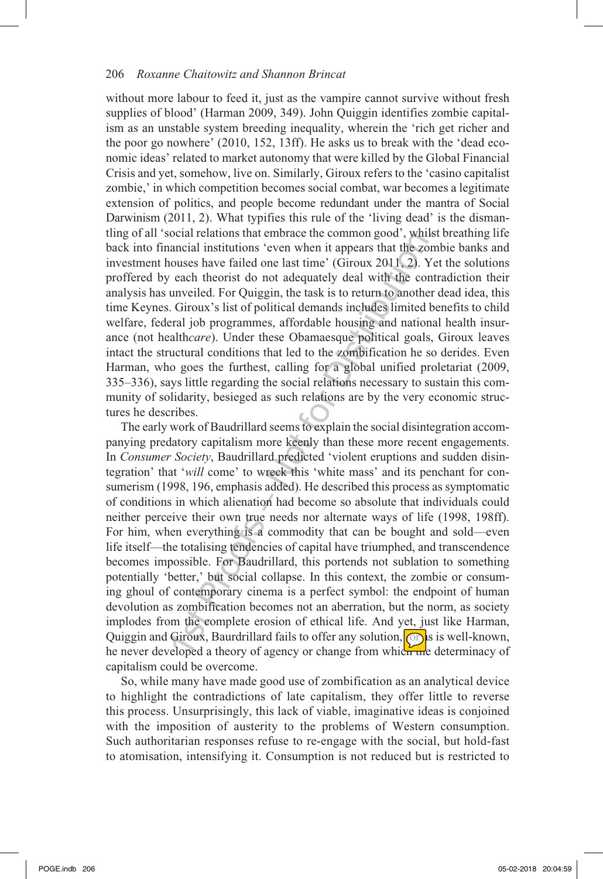without more labour to feed it, just as the vampire cannot survive without fresh supplies of blood' (Harman 2009, 349). John Quiggin identifies zombie capitalism as an unstable system breeding inequality, wherein the 'rich get richer and the poor go nowhere' (2010, 152, 13ff). He asks us to break with the 'dead economic ideas' related to market autonomy that were killed by the Global Financial Crisis and yet, somehow, live on. Similarly, Giroux refers to the 'casino capitalist zombie,' in which competition becomes social combat, war becomes a legitimate extension of politics, and people become redundant under the mantra of Social Darwinism (2011, 2). What typifies this rule of the 'living dead' is the dismantling of all 'social relations that embrace the common good', whilst breathing life back into financial institutions 'even when it appears that the zombie banks and investment houses have failed one last time' (Giroux 2011, 2). Yet the solutions proffered by each theorist do not adequately deal with the contradiction their analysis has unveiled. For Quiggin, the task is to return to another dead idea, this time Keynes. Giroux's list of political demands includes limited benefits to child welfare, federal job programmes, affordable housing and national health insurance (not health*care*). Under these Obamaesque political goals, Giroux leaves intact the structural conditions that led to the zombification he so derides. Even Harman, who goes the furthest, calling for a global unified proletariat (2009, 335–336), says little regarding the social relations necessary to sustain this community of solidarity, besieged as such relations are by the very economic structures he describes.

occial relations unatellided to continuing bood, woming and entimation and an initiations 'even when it appears that the zonouses have failed one last time' (Giroux 2011, 2). Y each theorist do not adequately deal with the The early work of Baudrillard seems to explain the social disintegration accompanying predatory capitalism more keenly than these more recent engagements. In *Consumer Society*, Baudrillard predicted 'violent eruptions and sudden disintegration' that '*will* come' to wreck this 'white mass' and its penchant for consumerism (1998, 196, emphasis added). He described this process as symptomatic of conditions in which alienation had become so absolute that individuals could neither perceive their own true needs nor alternate ways of life (1998, 198ff). For him, when everything is a commodity that can be bought and sold—even life itself—the totalising tendencies of capital have triumphed, and transcendence becomes impossible. For Baudrillard, this portends not sublation to something potentially 'better,' but social collapse. In this context, the zombie or consuming ghoul of contemporary cinema is a perfect symbol: the endpoint of human devolution as zombification becomes not an aberration, but the norm, as society implodes from the complete erosion of ethical life. And yet, just like Harman, Quiggin and Giroux, Baurdrillard fails to offer any solution,  $\circled{c}$  is is well-known, he never developed a theory of agency or change from which the determinacy of capitalism could be overcome.

So, while many have made good use of zombification as an analytical device to highlight the contradictions of late capitalism, they offer little to reverse this process. Unsurprisingly, this lack of viable, imaginative ideas is conjoined with the imposition of austerity to the problems of Western consumption. Such authoritarian responses refuse to re-engage with the social, but hold-fast to atomisation, intensifying it. Consumption is not reduced but is restricted to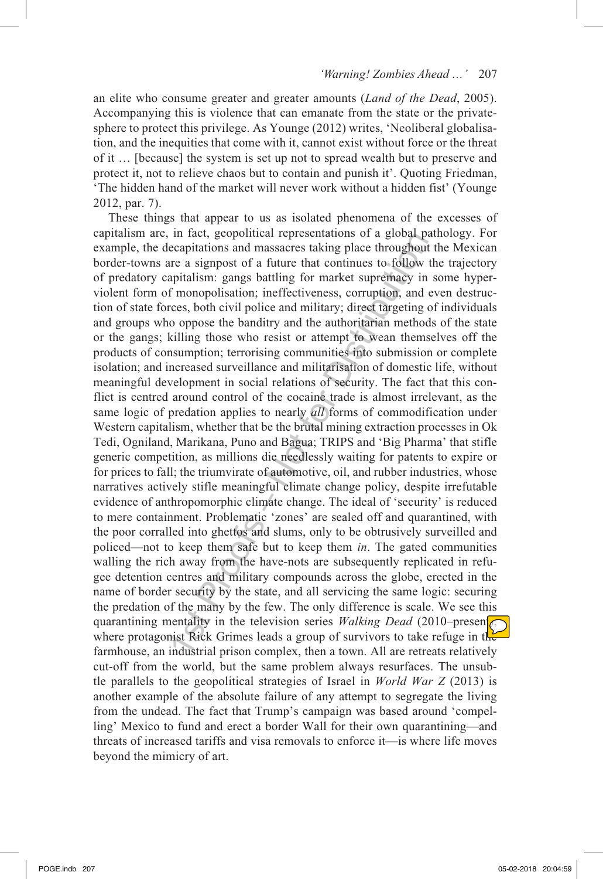an elite who consume greater and greater amounts (*Land of the Dead*, 2005). Accompanying this is violence that can emanate from the state or the privatesphere to protect this privilege. As Younge (2012) writes, 'Neoliberal globalisation, and the inequities that come with it, cannot exist without force or the threat of it … [because] the system is set up not to spread wealth but to preserve and protect it, not to relieve chaos but to contain and punish it'. Quoting Friedman, 'The hidden hand of the market will never work without a hidden fist' (Younge 2012, par. 7).

In Tact, geoponical representations or a growar parameterial meating reachitations and massacres taking place throughout ere a signpost of a future that continues to follow tapitalism: gangs battling for market supremacy These things that appear to us as isolated phenomena of the excesses of capitalism are, in fact, geopolitical representations of a global pathology. For example, the decapitations and massacres taking place throughout the Mexican border-towns are a signpost of a future that continues to follow the trajectory of predatory capitalism: gangs battling for market supremacy in some hyperviolent form of monopolisation; ineffectiveness, corruption, and even destruction of state forces, both civil police and military; direct targeting of individuals and groups who oppose the banditry and the authoritarian methods of the state or the gangs; killing those who resist or attempt to wean themselves off the products of consumption; terrorising communities into submission or complete isolation; and increased surveillance and militarisation of domestic life, without meaningful development in social relations of security. The fact that this conflict is centred around control of the cocaine trade is almost irrelevant, as the same logic of predation applies to nearly *all* forms of commodification under Western capitalism, whether that be the brutal mining extraction processes in Ok Tedi, Ogniland, Marikana, Puno and Bagua; TRIPS and 'Big Pharma' that stifle generic competition, as millions die needlessly waiting for patents to expire or for prices to fall; the triumvirate of automotive, oil, and rubber industries, whose narratives actively stifle meaningful climate change policy, despite irrefutable evidence of anthropomorphic climate change. The ideal of 'security' is reduced to mere containment. Problematic 'zones' are sealed off and quarantined, with the poor corralled into ghettos and slums, only to be obtrusively surveilled and policed—not to keep them safe but to keep them *in*. The gated communities walling the rich away from the have-nots are subsequently replicated in refugee detention centres and military compounds across the globe, erected in the name of border security by the state, and all servicing the same logic: securing the predation of the many by the few. The only difference is scale. We see this quarantining mentality in the television series *Walking Dead* (2010–presen $\sqrt{\sqrt{}}$ where protagonist Rick Grimes leads a group of survivors to take refuge in the farmhouse, an industrial prison complex, then a town. All are retreats relatively cut-off from the world, but the same problem always resurfaces. The unsubtle parallels to the geopolitical strategies of Israel in *World War Z* (2013) is another example of the absolute failure of any attempt to segregate the living from the undead. The fact that Trump's campaign was based around 'compelling' Mexico to fund and erect a border Wall for their own quarantining—and threats of increased tariffs and visa removals to enforce it—is where life moves beyond the mimicry of art.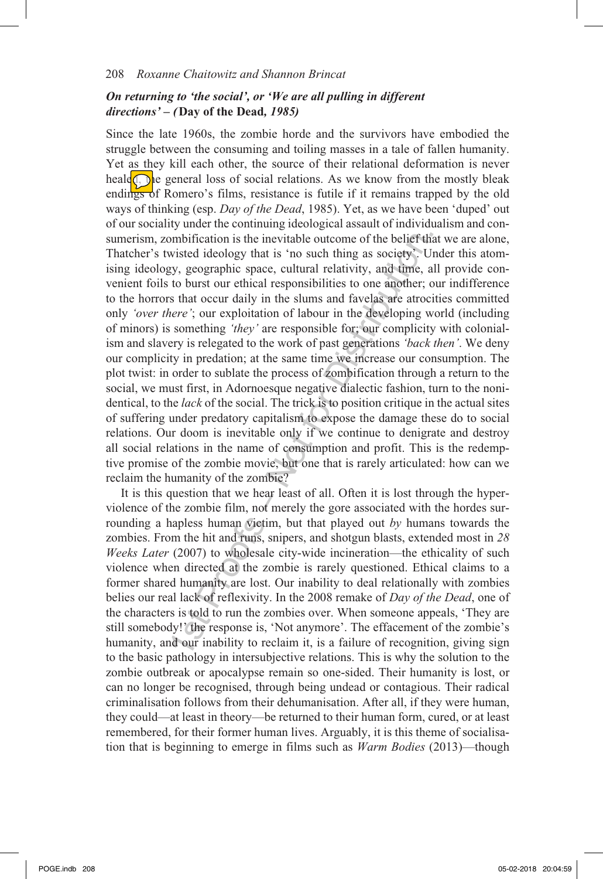## *On returning to 'the social', or 'We are all pulling in different directions' – (***Day of the Dead***, 1985)*

ombification is the inevitable outcome of the belief th<br>wisted ideology that is 'no such thing as society'. U<br>y, geographic space, cultural relativity, and time, a<br>to burst our ethical responsibilities to one another; to<br> Since the late 1960s, the zombie horde and the survivors have embodied the struggle between the consuming and toiling masses in a tale of fallen humanity. Yet as they kill each other, the source of their relational deformation is never heale<sub>(a)</sub> he general loss of social relations. As we know from the mostly bleak endings of Romero's films, resistance is futile if it remains trapped by the old ways of thinking (esp. *Day of the Dead*, 1985). Yet, as we have been 'duped' out of our sociality under the continuing ideological assault of individualism and consumerism, zombification is the inevitable outcome of the belief that we are alone, Thatcher's twisted ideology that is 'no such thing as society'. Under this atomising ideology, geographic space, cultural relativity, and time, all provide convenient foils to burst our ethical responsibilities to one another; our indifference to the horrors that occur daily in the slums and favelas are atrocities committed only *'over there'*; our exploitation of labour in the developing world (including of minors) is something *'they'* are responsible for; our complicity with colonialism and slavery is relegated to the work of past generations *'back then'*. We deny our complicity in predation; at the same time we increase our consumption. The plot twist: in order to sublate the process of zombification through a return to the social, we must first, in Adornoesque negative dialectic fashion, turn to the nonidentical, to the *lack* of the social. The trick is to position critique in the actual sites of suffering under predatory capitalism to expose the damage these do to social relations. Our doom is inevitable only if we continue to denigrate and destroy all social relations in the name of consumption and profit. This is the redemptive promise of the zombie movie, but one that is rarely articulated: how can we reclaim the humanity of the zombie?

It is this question that we hear least of all. Often it is lost through the hyperviolence of the zombie film, not merely the gore associated with the hordes surrounding a hapless human victim, but that played out *by* humans towards the zombies. From the hit and runs, snipers, and shotgun blasts, extended most in *28 Weeks Later* (2007) to wholesale city-wide incineration—the ethicality of such violence when directed at the zombie is rarely questioned. Ethical claims to a former shared humanity are lost. Our inability to deal relationally with zombies belies our real lack of reflexivity. In the 2008 remake of *Day of the Dead*, one of the characters is told to run the zombies over. When someone appeals, 'They are still somebody!' the response is, 'Not anymore'. The effacement of the zombie's humanity, and our inability to reclaim it, is a failure of recognition, giving sign to the basic pathology in intersubjective relations. This is why the solution to the zombie outbreak or apocalypse remain so one-sided. Their humanity is lost, or can no longer be recognised, through being undead or contagious. Their radical criminalisation follows from their dehumanisation. After all, if they were human, they could—at least in theory—be returned to their human form, cured, or at least remembered, for their former human lives. Arguably, it is this theme of socialisation that is beginning to emerge in films such as *Warm Bodies* (2013)—though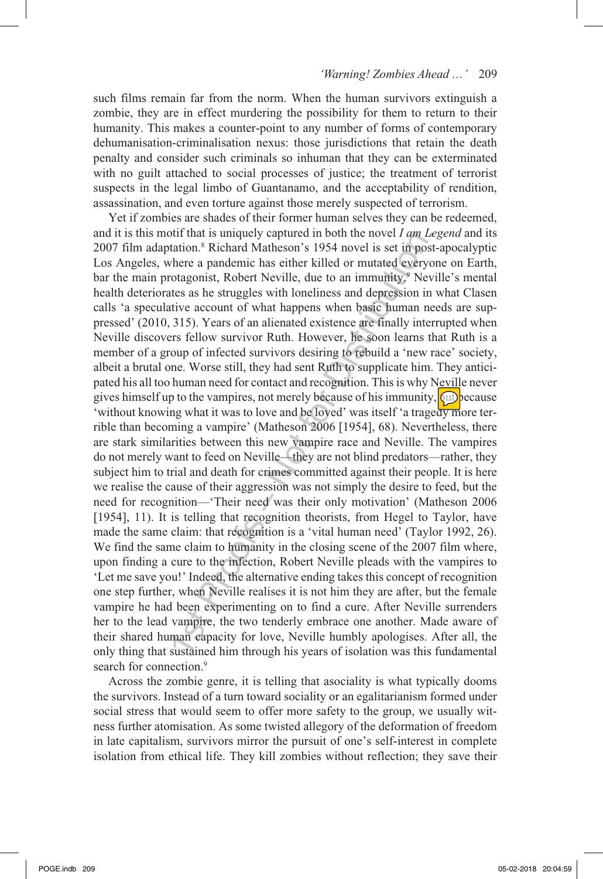such films remain far from the norm. When the human survivors extinguish a zombie, they are in effect murdering the possibility for them to return to their humanity. This makes a counter-point to any number of forms of contemporary dehumanisation-criminalisation nexus: those jurisdictions that retain the death penalty and consider such criminals so inhuman that they can be exterminated with no guilt attached to social processes of justice; the treatment of terrorist suspects in the legal limbo of Guantanamo, and the acceptability of rendition, assassination, and even torture against those merely suspected of terrorism.

but in an is uniquely captured in both the nove it *a* tan *L*station.<sup>8</sup> Richard Matheson's 1954 novel is set in position.<sup>8</sup> Richard Matheson's 1954 novel is set in position.<sup>8</sup> Nebert Neville, due to an immunity,<sup>9</sup> Ne Yet if zombies are shades of their former human selves they can be redeemed, and it is this motif that is uniquely captured in both the novel *I am Legend* and its 2007 film adaptation.<sup>8</sup> Richard Matheson's 1954 novel is set in post-apocalyptic Los Angeles, where a pandemic has either killed or mutated everyone on Earth, bar the main protagonist, Robert Neville, due to an immunity.<sup>9</sup> Neville's mental health deteriorates as he struggles with loneliness and depression in what Clasen calls 'a speculative account of what happens when basic human needs are suppressed' (2010, 315). Years of an alienated existence are finally interrupted when Neville discovers fellow survivor Ruth. However, he soon learns that Ruth is a member of a group of infected survivors desiring to rebuild a 'new race' society, albeit a brutal one. Worse still, they had sent Ruth to supplicate him. They anticipated his all too human need for contact and recognition. This is why Neville never gives himself up to the vampires, not merely because of his immunity,  $\sqrt{\psi}$  because 'without knowing what it was to love and be loved' was itself 'a tragedy more terrible than becoming a vampire' (Matheson 2006 [1954], 68). Nevertheless, there are stark similarities between this new vampire race and Neville. The vampires do not merely want to feed on Neville—they are not blind predators—rather, they subject him to trial and death for crimes committed against their people. It is here we realise the cause of their aggression was not simply the desire to feed, but the need for recognition—'Their need was their only motivation' (Matheson 2006 [1954], 11). It is telling that recognition theorists, from Hegel to Taylor, have made the same claim: that recognition is a 'vital human need' (Taylor 1992, 26). We find the same claim to humanity in the closing scene of the 2007 film where, upon finding a cure to the infection, Robert Neville pleads with the vampires to 'Let me save you!' Indeed, the alternative ending takes this concept of recognition one step further, when Neville realises it is not him they are after, but the female vampire he had been experimenting on to find a cure. After Neville surrenders her to the lead vampire, the two tenderly embrace one another. Made aware of their shared human capacity for love, Neville humbly apologises. After all, the only thing that sustained him through his years of isolation was this fundamental search for connection.<sup>9</sup>

Across the zombie genre, it is telling that asociality is what typically dooms the survivors. Instead of a turn toward sociality or an egalitarianism formed under social stress that would seem to offer more safety to the group, we usually witness further atomisation. As some twisted allegory of the deformation of freedom in late capitalism, survivors mirror the pursuit of one's self-interest in complete isolation from ethical life. They kill zombies without reflection; they save their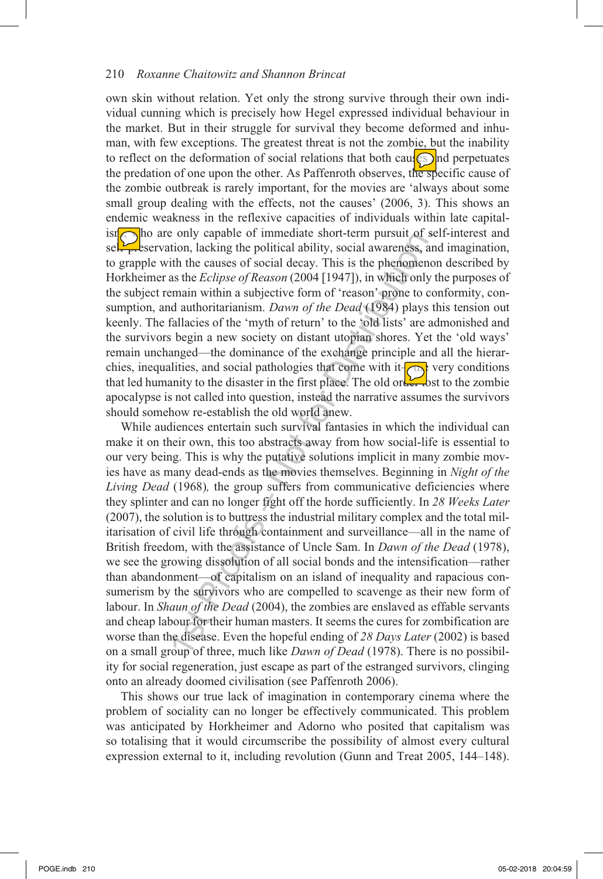own skin without relation. Yet only the strong survive through their own individual cunning which is precisely how Hegel expressed individual behaviour in the market. But in their struggle for survival they become deformed and inhuman, with few exceptions. The greatest threat is not the zombie, but the inability to reflect on the deformation of social relations that both causes and perpetuates the predation of one upon the other. As Paffenroth observes, the specific cause of the zombie outbreak is rarely important, for the movies are 'always about some small group dealing with the effects, not the causes' (2006, 3). This shows an endemic weakness in the reflexive capacities of individuals within late capital $isif$  ho are only capable of immediate short-term pursuit of self-interest and self- $p$ -eservation, lacking the political ability, social awareness, and imagination, to grapple with the causes of social decay. This is the phenomenon described by Horkheimer as the *Eclipse of Reason* (2004 [1947]), in which only the purposes of the subject remain within a subjective form of 'reason' prone to conformity, consumption, and authoritarianism. *Dawn of the Dead* (1984) plays this tension out keenly. The fallacies of the 'myth of return' to the 'old lists' are admonished and the survivors begin a new society on distant utopian shores. Yet the 'old ways' remain unchanged—the dominance of the exchange principle and all the hierarchies, inequalities, and social pathologies that come with it $\leftarrow$ that led humanity to the disaster in the first place. The old order lost to the zombie apocalypse is not called into question, instead the narrative assumes the survivors should somehow re-establish the old world anew.

but the same of mindled since of mindled since of mindled since of mindled since in the causes of social decay. This is the phenoniem as the *Eclipse of Reason* (2004 [1947]), in which only emain within a subjective form While audiences entertain such survival fantasies in which the individual can make it on their own, this too abstracts away from how social-life is essential to our very being. This is why the putative solutions implicit in many zombie movies have as many dead-ends as the movies themselves. Beginning in *Night of the Living Dead* (1968), the group suffers from communicative deficiencies where they splinter and can no longer fight off the horde sufficiently. In *28 Weeks Later* (2007), the solution is to buttress the industrial military complex and the total militarisation of civil life through containment and surveillance—all in the name of British freedom, with the assistance of Uncle Sam. In *Dawn of the Dead* (1978), we see the growing dissolution of all social bonds and the intensification—rather than abandonment—of capitalism on an island of inequality and rapacious consumerism by the survivors who are compelled to scavenge as their new form of labour. In *Shaun of the Dead* (2004), the zombies are enslaved as effable servants and cheap labour for their human masters. It seems the cures for zombification are worse than the disease. Even the hopeful ending of *28 Days Later* (2002) is based on a small group of three, much like *Dawn of Dead* (1978). There is no possibility for social regeneration, just escape as part of the estranged survivors, clinging onto an already doomed civilisation (see Paffenroth 2006).

This shows our true lack of imagination in contemporary cinema where the problem of sociality can no longer be effectively communicated. This problem was anticipated by Horkheimer and Adorno who posited that capitalism was so totalising that it would circumscribe the possibility of almost every cultural expression external to it, including revolution (Gunn and Treat 2005, 144–148).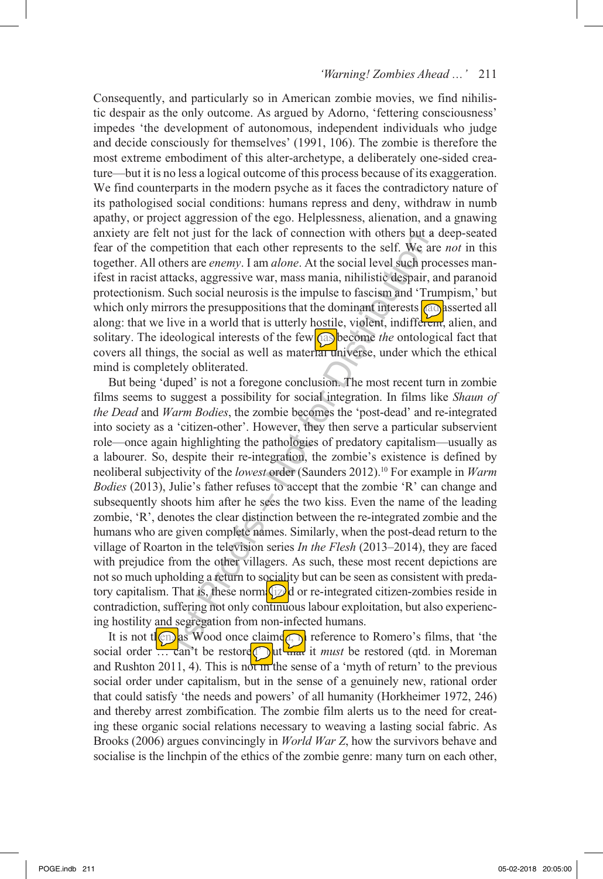Consequently, and particularly so in American zombie movies, we find nihilistic despair as the only outcome. As argued by Adorno, 'fettering consciousness' impedes 'the development of autonomous, independent individuals who judge and decide consciously for themselves' (1991, 106). The zombie is therefore the most extreme embodiment of this alter-archetype, a deliberately one-sided creature—but it is no less a logical outcome of this process because of its exaggeration. We find counterparts in the modern psyche as it faces the contradictory nature of its pathologised social conditions: humans repress and deny, withdraw in numb apathy, or project aggression of the ego. Helplessness, alienation, and a gnawing anxiety are felt not just for the lack of connection with others but a deep-seated fear of the competition that each other represents to the self. We are *not* in this together. All others are *enemy*. I am *alone*. At the social level such processes manifest in racist attacks, aggressive war, mass mania, nihilistic despair, and paranoid protectionism. Such social neurosis is the impulse to fascism and 'Trumpism,' but which only mirrors the presuppositions that the dominant interests  $\alpha$  asserted all along: that we live in a world that is utterly hostile, violent, indifferent, alien, and solitary. The ideological interests of the few **as** become *the* ontological fact that covers all things, the social as well as material universe, under which the ethical mind is completely obliterated.

not just for the tack of connection with others of a<br>respectively that the respectively that there is one here see and the hers are *enemy*. I am *alone*. At the social level such pretacks, aggressive war, mass mania, nih But being 'duped' is not a foregone conclusion. The most recent turn in zombie films seems to suggest a possibility for social integration. In films like *Shaun of the Dead* and *Warm Bodies*, the zombie becomes the 'post-dead' and re-integrated into society as a 'citizen-other'. However, they then serve a particular subservient role—once again highlighting the pathologies of predatory capitalism—usually as a labourer. So, despite their re-integration, the zombie's existence is defined by neoliberal subjectivity of the *lowest* order (Saunders 2012).10 For example in *Warm Bodies* (2013), Julie's father refuses to accept that the zombie 'R' can change and subsequently shoots him after he sees the two kiss. Even the name of the leading zombie, 'R', denotes the clear distinction between the re-integrated zombie and the humans who are given complete names. Similarly, when the post-dead return to the village of Roarton in the television series *In the Flesh* (2013–2014), they are faced with prejudice from the other villagers. As such, these most recent depictions are not so much upholding a return to sociality but can be seen as consistent with predatory capitalism. That is, these normed  $\Box$  or re-integrated citizen-zombies reside in contradiction, suffering not only continuous labour exploitation, but also experiencing hostility and segregation from non-infected humans.

It is not then, as Wood once claimed, in reference to Romero's films, that 'the social order ... can't be restore but that it *must* be restored (qtd. in Moreman and Rushton 2011, 4). This is not in the sense of a 'myth of return' to the previous social order under capitalism, but in the sense of a genuinely new, rational order that could satisfy 'the needs and powers' of all humanity (Horkheimer 1972, 246) and thereby arrest zombification. The zombie film alerts us to the need for creating these organic social relations necessary to weaving a lasting social fabric. As Brooks (2006) argues convincingly in *World War Z*, how the survivors behave and socialise is the linchpin of the ethics of the zombie genre: many turn on each other,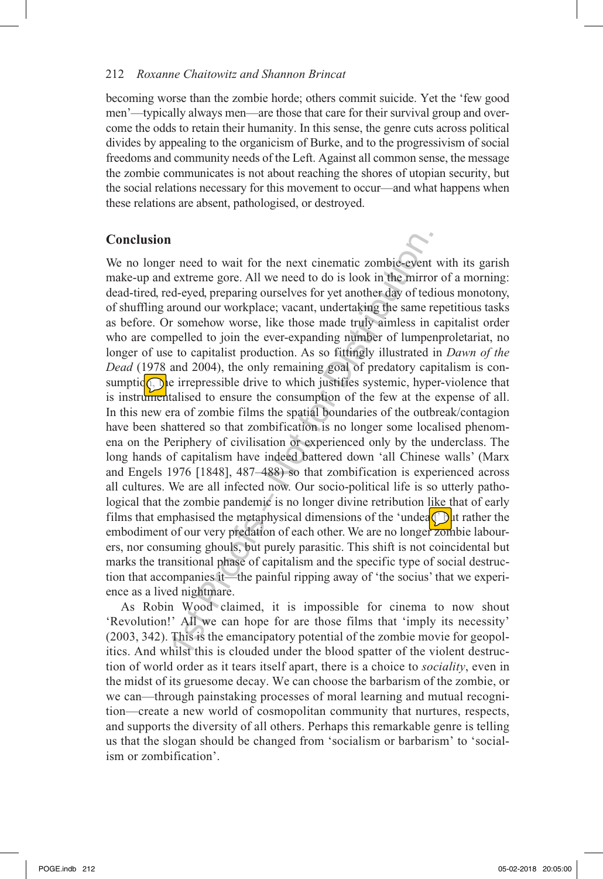becoming worse than the zombie horde; others commit suicide. Yet the 'few good men'—typically always men—are those that care for their survival group and overcome the odds to retain their humanity. In this sense, the genre cuts across political divides by appealing to the organicism of Burke, and to the progressivism of social freedoms and community needs of the Left. Against all common sense, the message the zombie communicates is not about reaching the shores of utopian security, but the social relations necessary for this movement to occur—and what happens when these relations are absent, pathologised, or destroyed.

## **Conclusion**

1 r need to wait for the next cinematic zombie-event extreme gore. All we need to do is look in the mirrod-eyed, preparing ourselves for yet another day of ted around our workplace; vacant, undertaking the same r somehow w We no longer need to wait for the next cinematic zombie-event with its garish make-up and extreme gore. All we need to do is look in the mirror of a morning: dead-tired, red-eyed, preparing ourselves for yet another day of tedious monotony, of shuffling around our workplace; vacant, undertaking the same repetitious tasks as before. Or somehow worse, like those made truly aimless in capitalist order who are compelled to join the ever-expanding number of lumpenproletariat, no longer of use to capitalist production. As so fittingly illustrated in *Dawn of the Dead* (1978 and 2004), the only remaining goal of predatory capitalism is consumption, the irrepressible drive to which justifies systemic, hyper-violence that is instrumentalised to ensure the consumption of the few at the expense of all. In this new era of zombie films the spatial boundaries of the outbreak/contagion have been shattered so that zombification is no longer some localised phenomena on the Periphery of civilisation or experienced only by the underclass. The long hands of capitalism have indeed battered down 'all Chinese walls' (Marx and Engels 1976 [1848], 487–488) so that zombification is experienced across all cultures. We are all infected now. Our socio-political life is so utterly pathological that the zombie pandemic is no longer divine retribution like that of early films that emphasised the metaphysical dimensions of the 'undea $\bigcirc$  ut rather the embodiment of our very predation of each other. We are no longer zombie labourers, nor consuming ghouls, but purely parasitic. This shift is not coincidental but marks the transitional phase of capitalism and the specific type of social destruction that accompanies it—the painful ripping away of 'the socius' that we experience as a lived nightmare.

As Robin Wood claimed, it is impossible for cinema to now shout 'Revolution!' All we can hope for are those films that 'imply its necessity' (2003, 342). This is the emancipatory potential of the zombie movie for geopolitics. And whilst this is clouded under the blood spatter of the violent destruction of world order as it tears itself apart, there is a choice to *sociality*, even in the midst of its gruesome decay. We can choose the barbarism of the zombie, or we can—through painstaking processes of moral learning and mutual recognition—create a new world of cosmopolitan community that nurtures, respects, and supports the diversity of all others. Perhaps this remarkable genre is telling us that the slogan should be changed from 'socialism or barbarism' to 'socialism or zombification'.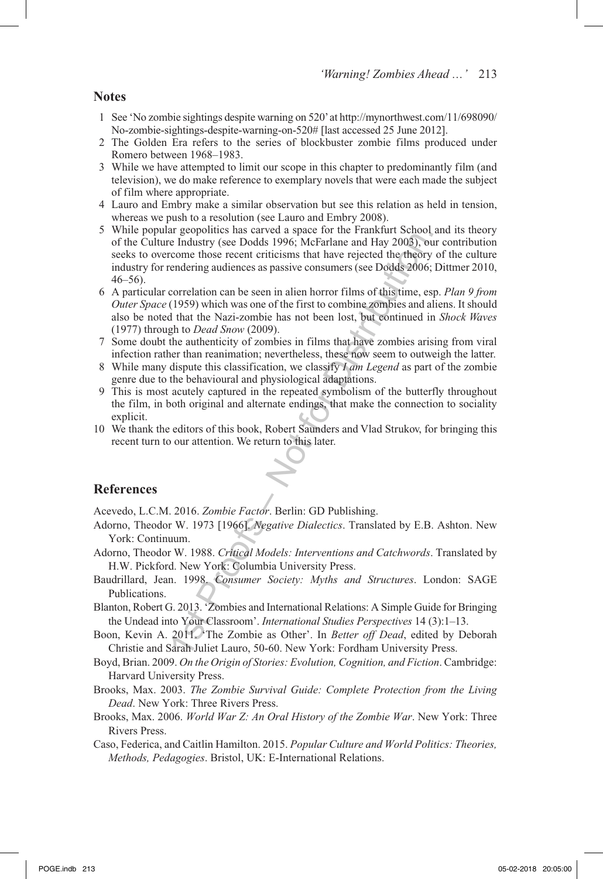**Notes**

- 1 See 'No zombie sightings despite warning on 520' at http://mynorthwest.com/11/698090/ No-zombie-sightings-despite-warning-on-520# [last accessed 25 June 2012].
- 2 The Golden Era refers to the series of blockbuster zombie films produced under Romero between 1968–1983.
- 3 While we have attempted to limit our scope in this chapter to predominantly film (and television), we do make reference to exemplary novels that were each made the subject of film where appropriate.
- 4 Lauro and Embry make a similar observation but see this relation as held in tension, whereas we push to a resolution (see Lauro and Embry 2008).
- e Industry (see Dodds 1996; McFarlane and Hay 2003), outcome those recent criticisms that have rejected the theory endering audiences as passive consumers (see Dodds 2006; correlation can be seen in alien horror films of t 5 While popular geopolitics has carved a space for the Frankfurt School and its theory of the Culture Industry (see Dodds 1996; McFarlane and Hay 2003), our contribution seeks to overcome those recent criticisms that have rejected the theory of the culture industry for rendering audiences as passive consumers (see Dodds 2006; Dittmer 2010, 46–56).
- 6 A particular correlation can be seen in alien horror films of this time, esp. *Plan 9 from Outer Space* (1959) which was one of the first to combine zombies and aliens. It should also be noted that the Nazi-zombie has not been lost, but continued in *Shock Waves* (1977) through to *Dead Snow* (2009).
- 7 Some doubt the authenticity of zombies in films that have zombies arising from viral infection rather than reanimation; nevertheless, these now seem to outweigh the latter.
- 8 While many dispute this classification, we classify *I am Legend* as part of the zombie genre due to the behavioural and physiological adaptations.
- 9 This is most acutely captured in the repeated symbolism of the butterfly throughout the film, in both original and alternate endings, that make the connection to sociality explicit.
- 10 We thank the editors of this book, Robert Saunders and Vlad Strukov, for bringing this recent turn to our attention. We return to this later.

#### **References**

Acevedo, L.C.M. 2016. *Zombie Factor*. Berlin: GD Publishing.

- Adorno, Theodor W. 1973 [1966]. *Negative Dialectics*. Translated by E.B. Ashton. New York: Continuum.
- Adorno, Theodor W. 1988. *Critical Models: Interventions and Catchwords*. Translated by H.W. Pickford. New York: Columbia University Press.
- Baudrillard, Jean. 1998. *Consumer Society: Myths and Structures*. London: SAGE Publications.
- Blanton, Robert G. 2013. 'Zombies and International Relations: A Simple Guide for Bringing the Undead into Your Classroom'. *International Studies Perspectives* 14 (3):1–13.
- Boon, Kevin A. 2011. 'The Zombie as Other'. In *Better off Dead*, edited by Deborah Christie and Sarah Juliet Lauro, 50-60. New York: Fordham University Press.
- Boyd, Brian. 2009. *On the Origin of Stories: Evolution, Cognition, and Fiction*. Cambridge: Harvard University Press.
- Brooks, Max. 2003. *The Zombie Survival Guide: Complete Protection from the Living Dead*. New York: Three Rivers Press.
- Brooks, Max. 2006. *World War Z: An Oral History of the Zombie War*. New York: Three Rivers Press.
- Caso, Federica, and Caitlin Hamilton. 2015. *Popular Culture and World Politics: Theories, Methods, Pedagogies*. Bristol, UK: E-International Relations.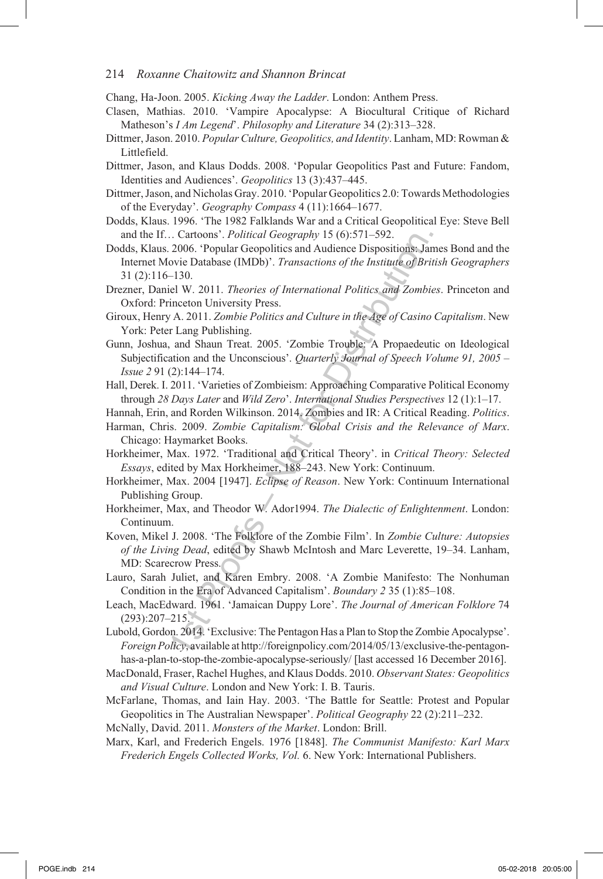Chang, Ha-Joon. 2005. *Kicking Away the Ladder*. London: Anthem Press.

- Clasen, Mathias. 2010. 'Vampire Apocalypse: A Biocultural Critique of Richard Matheson's *I Am Legend*'. *Philosophy and Literature* 34 (2):313–328.
- Dittmer, Jason. 2010. *Popular Culture, Geopolitics, and Identity*. Lanham, MD: Rowman & Littlefield.
- Dittmer, Jason, and Klaus Dodds. 2008. 'Popular Geopolitics Past and Future: Fandom, Identities and Audiences'. *Geopolitics* 13 (3):437–445.
- Dittmer, Jason, and Nicholas Gray. 2010. 'Popular Geopolitics 2.0: Towards Methodologies of the Everyday'. *Geography Compass* 4 (11):1664–1677.
- Dodds, Klaus. 1996. 'The 1982 Falklands War and a Critical Geopolitical Eye: Steve Bell and the If… Cartoons'. *Political Geography* 15 (6):571–592.
- 1. Cartons : *Political Geography* 15 (6):571-592.<br>
2006. 'Popular Geopolitics and Audience Dispositions: Jarovic Database (IMDb)'. *Transactions of the Institute of Bri*<br>
130.<br>
130.<br>
130.<br>
130.<br>
130.<br>
140. 2011. *Theories* Dodds, Klaus. 2006. 'Popular Geopolitics and Audience Dispositions: James Bond and the Internet Movie Database (IMDb)'. *Transactions of the Institute of British Geographers* 31 (2):116–130.
- Drezner, Daniel W. 2011. *Theories of International Politics and Zombies*. Princeton and Oxford: Princeton University Press.
- Giroux, Henry A. 2011. *Zombie Politics and Culture in the Age of Casino Capitalism*. New York: Peter Lang Publishing.
- Gunn, Joshua, and Shaun Treat. 2005. 'Zombie Trouble: A Propaedeutic on Ideological Subjectification and the Unconscious'. *Quarterly Journal of Speech Volume 91, 2005 – Issue 2* 91 (2):144–174.
- Hall, Derek. I. 2011. 'Varieties of Zombieism: Approaching Comparative Political Economy through *28 Days Later* and *Wild Zero*'. *International Studies Perspectives* 12 (1):1–17.

Hannah, Erin, and Rorden Wilkinson. 2014. Zombies and IR: A Critical Reading. *Politics*.

- Harman, Chris. 2009. *Zombie Capitalism: Global Crisis and the Relevance of Marx*. Chicago: Haymarket Books.
- Horkheimer, Max. 1972. 'Traditional and Critical Theory'. in *Critical Theory: Selected Essays*, edited by Max Horkheimer, 188–243. New York: Continuum.
- Horkheimer, Max. 2004 [1947]. *Eclipse of Reason*. New York: Continuum International Publishing Group.
- Horkheimer, Max, and Theodor W. Ador1994. *The Dialectic of Enlightenment*. London: Continuum.
- Koven, Mikel J. 2008. 'The Folklore of the Zombie Film'. In *Zombie Culture: Autopsies of the Living Dead*, edited by Shawb McIntosh and Marc Leverette, 19–34. Lanham, MD: Scarecrow Press.
- Lauro, Sarah Juliet, and Karen Embry. 2008. 'A Zombie Manifesto: The Nonhuman Condition in the Era of Advanced Capitalism'. *Boundary 2* 35 (1):85–108.
- Leach, MacEdward. 1961. 'Jamaican Duppy Lore'. *The Journal of American Folklore* 74 (293):207–215.
- Lubold, Gordon. 2014. 'Exclusive: The Pentagon Has a Plan to Stop the Zombie Apocalypse'. *Foreign Policy*, available at http://foreignpolicy.com/2014/05/13/exclusive-the-pentagonhas-a-plan-to-stop-the-zombie-apocalypse-seriously/ [last accessed 16 December 2016].
- MacDonald, Fraser, Rachel Hughes, and Klaus Dodds. 2010. *Observant States: Geopolitics and Visual Culture*. London and New York: I. B. Tauris.
- McFarlane, Thomas, and Iain Hay. 2003. 'The Battle for Seattle: Protest and Popular Geopolitics in The Australian Newspaper'. *Political Geography* 22 (2):211–232.
- McNally, David. 2011. *Monsters of the Market*. London: Brill.
- Marx, Karl, and Frederich Engels. 1976 [1848]. *The Communist Manifesto: Karl Marx Frederich Engels Collected Works, Vol.* 6. New York: International Publishers.